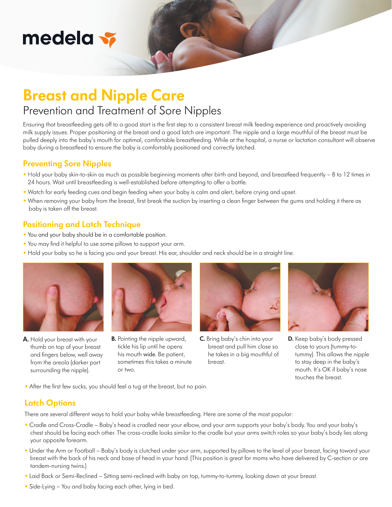# medela <del>v</del>

## **Breast and Nipple Care**

## Prevention and Treatment of Sore Nipples

Ensuring that breastfeeding gets off to a good start is the first step to a consistent breast milk feeding experience and proactively avoiding milk supply issues. Proper positioning at the breast and a good latch are important. The nipple and a large mouthful of the breast must be pulled deeply into the baby's mouth for optimal, comfortable breastfeeding. While at the hospital, a nurse or lactation consultant will observe baby during a breastfeed to ensure the baby is comfortably positioned and correctly latched.

### **Preventing Sore Nipples**

- Hold your baby skin-to-skin as much as possible beginning moments after birth and beyond, and breastfeed frequently 8 to 12 times in 24 hours. Wait until breastfeeding is well-established before attempting to offer a bottle.
- Watch for early feeding cues and begin feeding when your baby is calm and alert, before crying and upset.
- When removing your baby from the breast, first break the suction by inserting a clean finger between the gums and holding it there as baby is taken off the breast.

### **Positioning and Latch Technique**

- You and your baby should be in a comfortable position.
- You may find it helpful to use some pillows to support your arm.
- Hold your baby so he is facing you and your breast. His ear, shoulder and neck should be in a straight line.



**A.** Hold your breast with your thumb on top of your breast and fingers below, well away from the areola (darker part surrounding the nipple).



**B.** Pointing the nipple upward, tickle his lip until he opens his mouth wide. Be patient, sometimes this takes a minute or two.



**C.** Bring baby's chin into your breast and pull him close so he takes in a big mouthful of breast.



**D.** Keep baby's body pressed close to yours (tummy-totummy). This allows the nipple to stay deep in the baby's mouth. It's OK if baby's nose touches the breast.

• After the first few sucks, you should feel a tug at the breast, but no pain.

## **Latch Options**

There are several different ways to hold your baby while breastfeeding. Here are some of the most popular:

- Cradle and Cross-Cradle Baby's head is cradled near your elbow, and your arm supports your baby's body. You and your baby's chest should be facing each other. The cross-cradle looks similar to the cradle but your arms switch roles so your baby's body lies along your opposite forearm.
- Under the Arm or Football Baby's body is clutched under your arm, supported by pillows to the level of your breast, facing toward your breast with the back of his neck and base of head in your hand. (This position is great for moms who have delivered by C-section or are tandem-nursing twins.)
- Laid Back or Semi-Reclined Sitting semi-reclined with baby on top, tummy-to-tummy, looking down at your breast.
- Side-Lying You and baby facing each other, lying in bed.